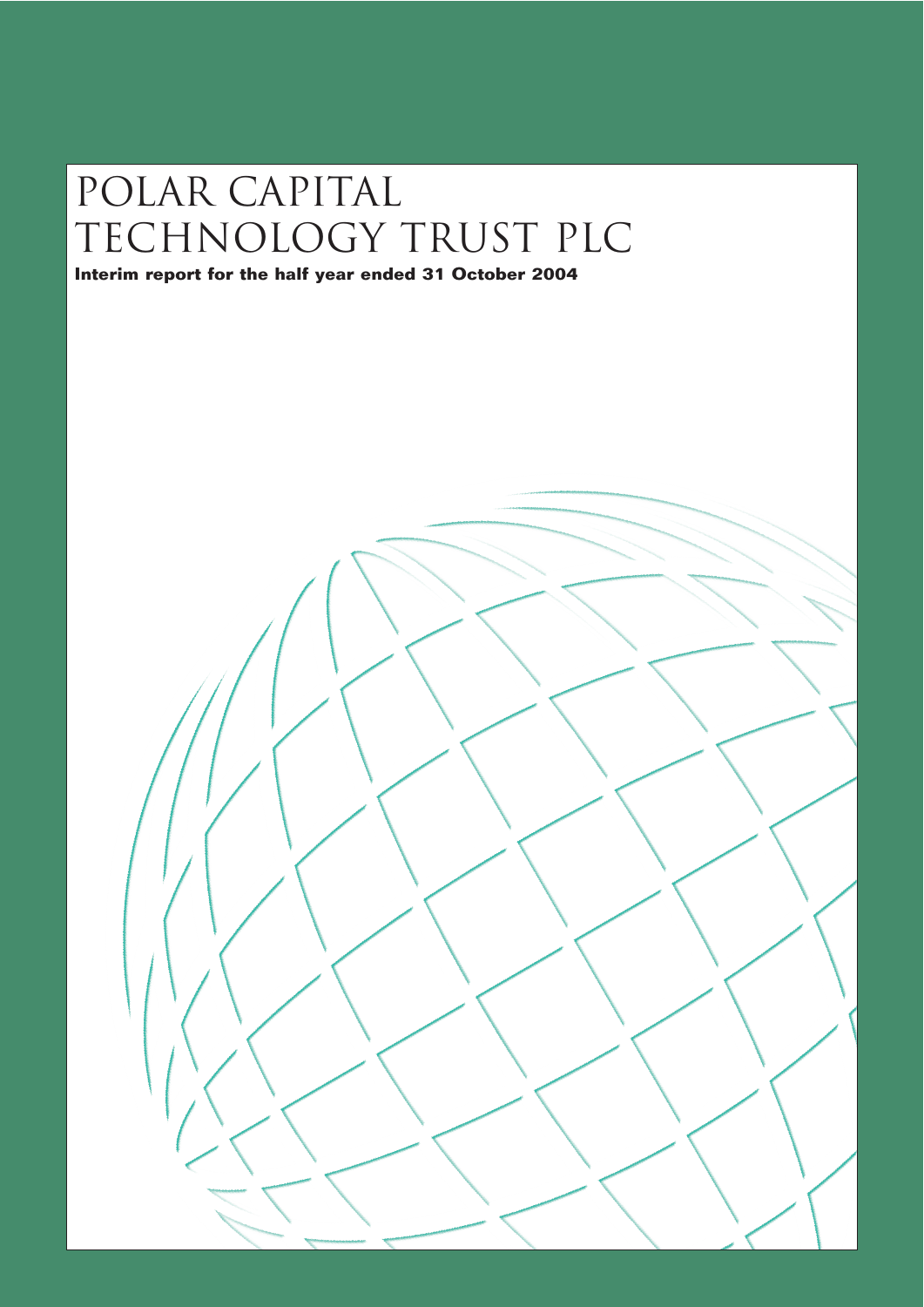# Polar capital TECHNOLOGY TRUST PLC

**Interim report for the half year ended 31 October 2004**

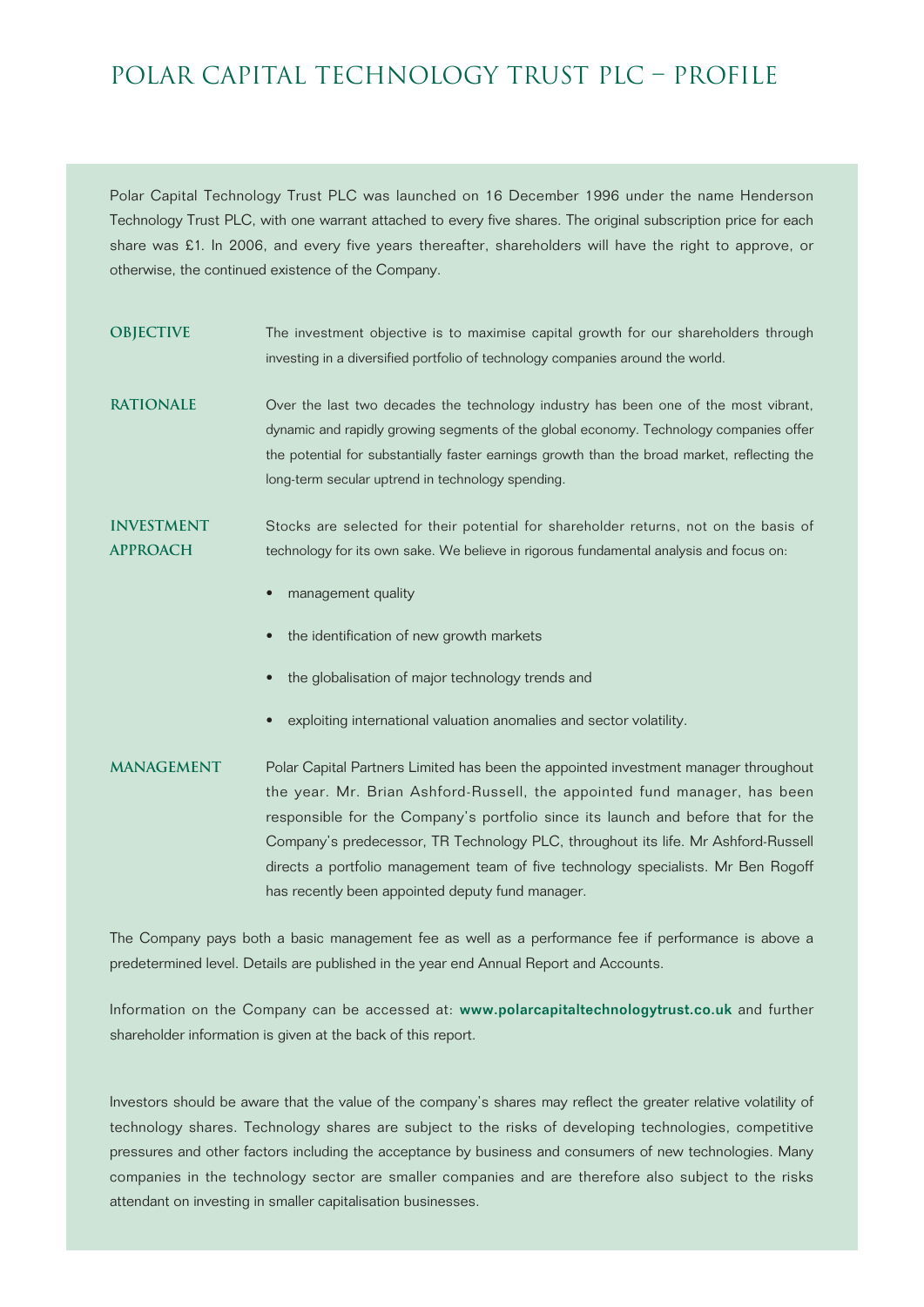### Polar Capital Technology Trust Plc – pROFILE

Polar Capital Technology Trust PLC was launched on 16 December 1996 under the name Henderson Technology Trust PLC, with one warrant attached to every five shares. The original subscription price for each share was £1. In 2006, and every five years thereafter, shareholders will have the right to approve, or otherwise, the continued existence of the Company.

- **OBJECTIVE** The investment objective is to maximise capital growth for our shareholders through investing in a diversified portfolio of technology companies around the world.
- **RATIONALE** Over the last two decades the technology industry has been one of the most vibrant, dynamic and rapidly growing segments of the global economy. Technology companies offer the potential for substantially faster earnings growth than the broad market, reflecting the long-term secular uptrend in technology spending.

**INVESTMENT** Stocks are selected for their potential for shareholder returns, not on the basis of **APPROACH** technology for its own sake. We believe in rigorous fundamental analysis and focus on:

- management quality
- the identification of new growth markets
- the globalisation of major technology trends and
- exploiting international valuation anomalies and sector volatility.
- **MANAGEMENT** Polar Capital Partners Limited has been the appointed investment manager throughout the year. Mr. Brian Ashford-Russell, the appointed fund manager, has been responsible for the Company's portfolio since its launch and before that for the Company's predecessor, TR Technology PLC, throughout its life. Mr Ashford-Russell directs a portfolio management team of five technology specialists. Mr Ben Rogoff has recently been appointed deputy fund manager.

The Company pays both a basic management fee as well as a performance fee if performance is above a predetermined level. Details are published in the year end Annual Report and Accounts.

Information on the Company can be accessed at: www.polarcapitaltechnologytrust.co.uk and further shareholder information is given at the back of this report.

Investors should be aware that the value of the company's shares may reflect the greater relative volatility of technology shares. Technology shares are subject to the risks of developing technologies, competitive pressures and other factors including the acceptance by business and consumers of new technologies. Many companies in the technology sector are smaller companies and are therefore also subject to the risks attendant on investing in smaller capitalisation businesses.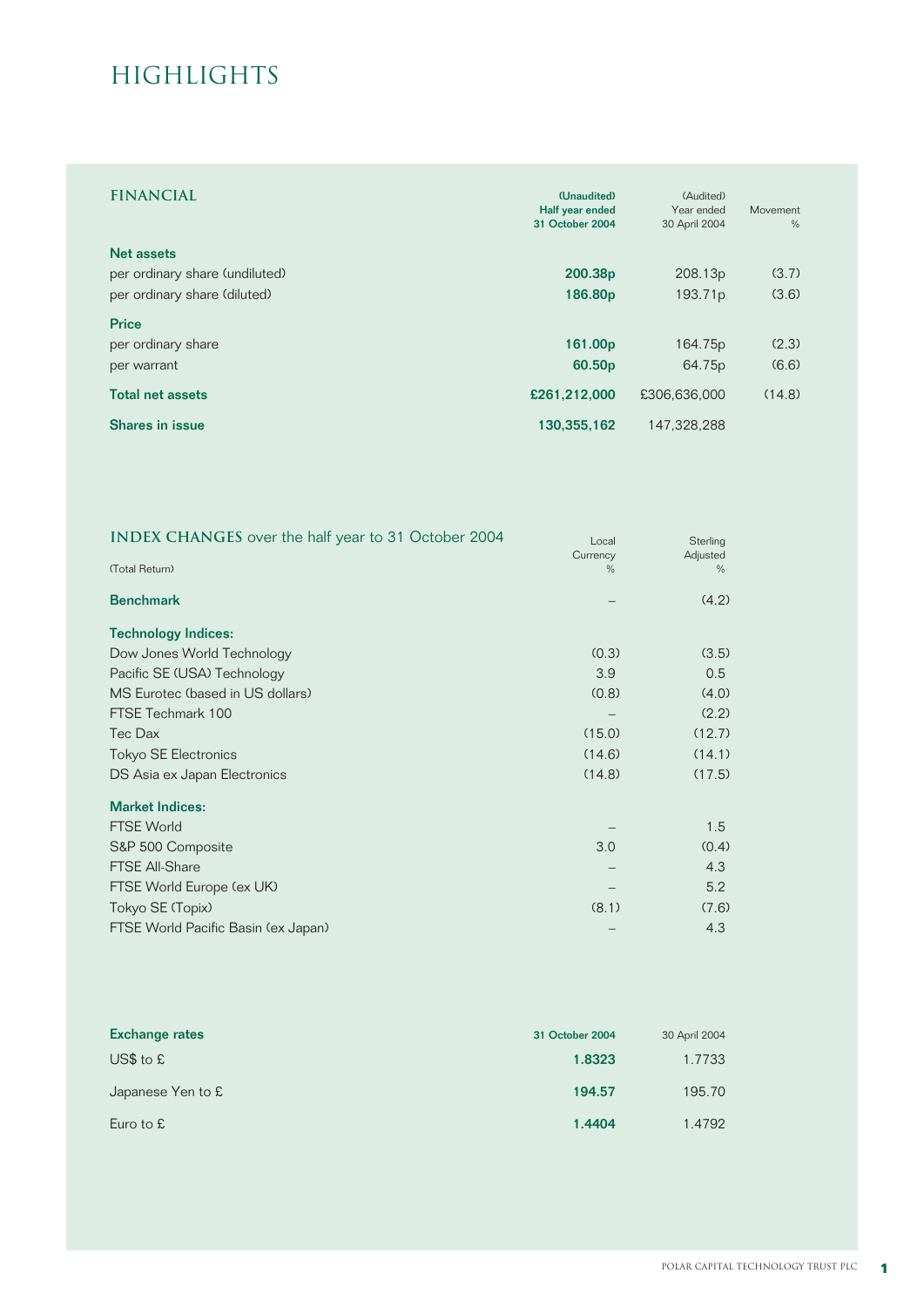### **HIGHLIGHTS**

| <b>FINANCIAL</b>               | (Unaudited)<br>Half year ended<br>31 October 2004 | (Audited)<br>Year ended<br>30 April 2004 | Movement<br>$\frac{0}{0}$ |
|--------------------------------|---------------------------------------------------|------------------------------------------|---------------------------|
| Net assets                     |                                                   |                                          |                           |
| per ordinary share (undiluted) | 200.38p                                           | 208.13p                                  | (3.7)                     |
| per ordinary share (diluted)   | 186.80p                                           | 193.71 <sub>p</sub>                      | (3.6)                     |
| <b>Price</b>                   |                                                   |                                          |                           |
| per ordinary share             | 161.00p                                           | 164.75p                                  | (2.3)                     |
| per warrant                    | 60.50 <sub>p</sub>                                | 64.75p                                   | (6.6)                     |
| <b>Total net assets</b>        | £261,212,000                                      | £306,636,000                             | (14.8)                    |
| Shares in issue                | 130,355,162                                       | 147,328,288                              |                           |

| INDEX CHANGES over the half year to 31 October 2004 | Local    | Sterling |
|-----------------------------------------------------|----------|----------|
|                                                     | Currency | Adjusted |
| (Total Return)                                      | $\%$     | $\%$     |
| <b>Benchmark</b>                                    |          | (4.2)    |
| <b>Technology Indices:</b>                          |          |          |
| Dow Jones World Technology                          | (0.3)    | (3.5)    |
| Pacific SE (USA) Technology                         | 3.9      | 0.5      |
| MS Eurotec (based in US dollars)                    | (0.8)    | (4.0)    |
| FTSE Techmark 100                                   |          | (2.2)    |
| Tec Dax                                             | (15.0)   | (12.7)   |
| <b>Tokyo SE Electronics</b>                         | (14.6)   | (14.1)   |
| DS Asia ex Japan Electronics                        | (14.8)   | (17.5)   |
| <b>Market Indices:</b>                              |          |          |
| <b>FTSE World</b>                                   |          | 1.5      |
| S&P 500 Composite                                   | 3.0      | (0.4)    |
| <b>FTSE All-Share</b>                               |          | 4.3      |
| FTSE World Europe (ex UK)                           |          | 5.2      |
| Tokyo SE (Topix)                                    | (8.1)    | (7.6)    |
| FTSE World Pacific Basin (ex Japan)                 |          | 4.3      |

| <b>Exchange rates</b> | 31 October 2004 | 30 April 2004 |
|-----------------------|-----------------|---------------|
| $US$$ to $£$          | 1.8323          | 1.7733        |
| Japanese Yen to £     | 194.57          | 195.70        |
| Euro to $E$           | 1.4404          | 1.4792        |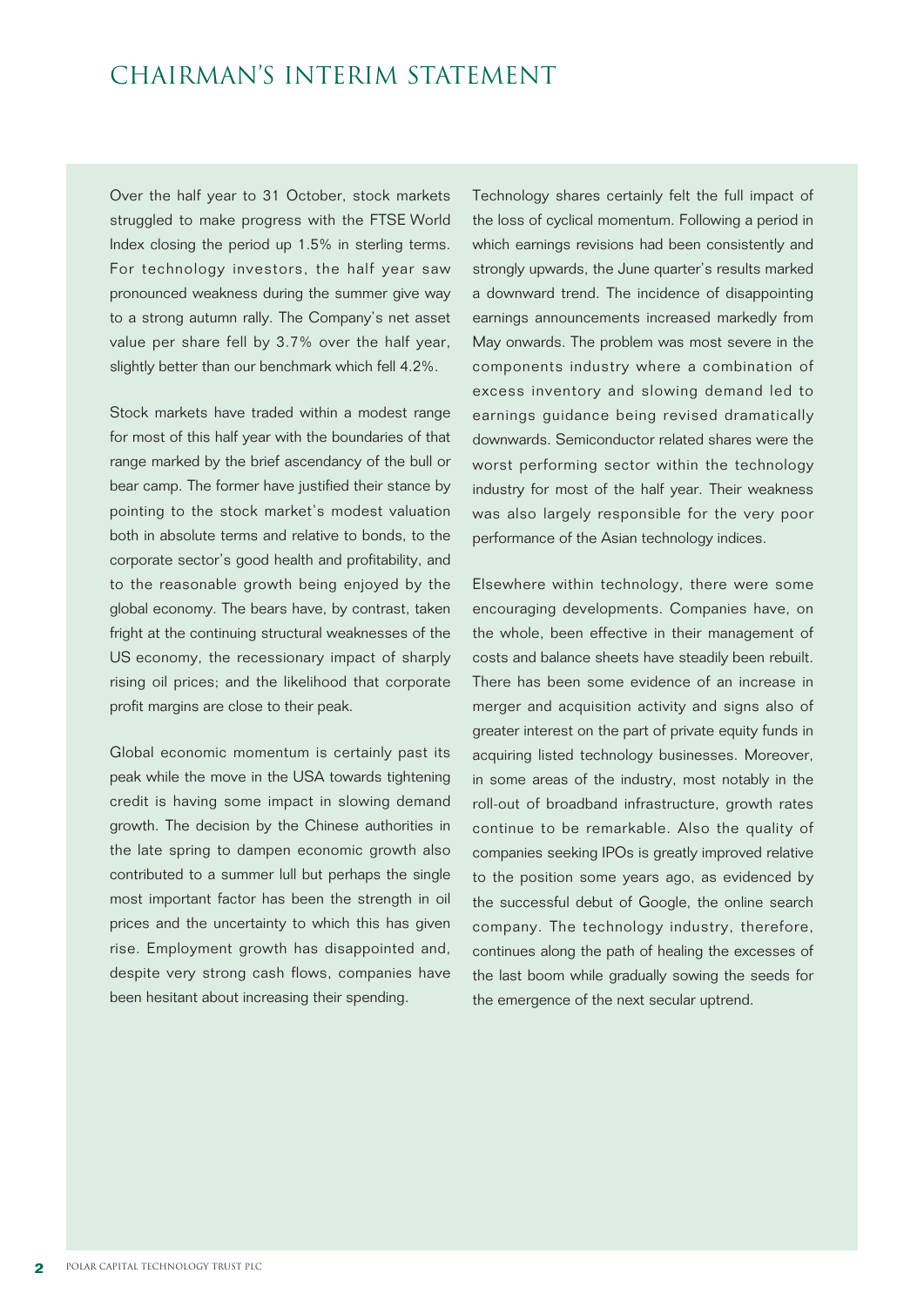### Chairman's INTERIM Statement

Over the half year to 31 October, stock markets struggled to make progress with the FTSE World Index closing the period up 1.5% in sterling terms. For technology investors, the half year saw pronounced weakness during the summer give way to a strong autumn rally. The Company's net asset value per share fell by 3.7% over the half year, slightly better than our benchmark which fell 4.2%.

Stock markets have traded within a modest range for most of this half year with the boundaries of that range marked by the brief ascendancy of the bull or bear camp. The former have justified their stance by pointing to the stock market's modest valuation both in absolute terms and relative to bonds, to the corporate sector's good health and profitability, and to the reasonable growth being enjoyed by the global economy. The bears have, by contrast, taken fright at the continuing structural weaknesses of the US economy, the recessionary impact of sharply rising oil prices; and the likelihood that corporate profit margins are close to their peak.

Global economic momentum is certainly past its peak while the move in the USA towards tightening credit is having some impact in slowing demand growth. The decision by the Chinese authorities in the late spring to dampen economic growth also contributed to a summer lull but perhaps the single most important factor has been the strength in oil prices and the uncertainty to which this has given rise. Employment growth has disappointed and, despite very strong cash flows, companies have been hesitant about increasing their spending.

Technology shares certainly felt the full impact of the loss of cyclical momentum. Following a period in which earnings revisions had been consistently and strongly upwards, the June quarter's results marked a downward trend. The incidence of disappointing earnings announcements increased markedly from May onwards. The problem was most severe in the components industry where a combination of excess inventory and slowing demand led to earnings guidance being revised dramatically downwards. Semiconductor related shares were the worst performing sector within the technology industry for most of the half year. Their weakness was also largely responsible for the very poor performance of the Asian technology indices.

Elsewhere within technology, there were some encouraging developments. Companies have, on the whole, been effective in their management of costs and balance sheets have steadily been rebuilt. There has been some evidence of an increase in merger and acquisition activity and signs also of greater interest on the part of private equity funds in acquiring listed technology businesses. Moreover, in some areas of the industry, most notably in the roll-out of broadband infrastructure, growth rates continue to be remarkable. Also the quality of companies seeking IPOs is greatly improved relative to the position some years ago, as evidenced by the successful debut of Google, the online search company. The technology industry, therefore, continues along the path of healing the excesses of the last boom while gradually sowing the seeds for the emergence of the next secular uptrend.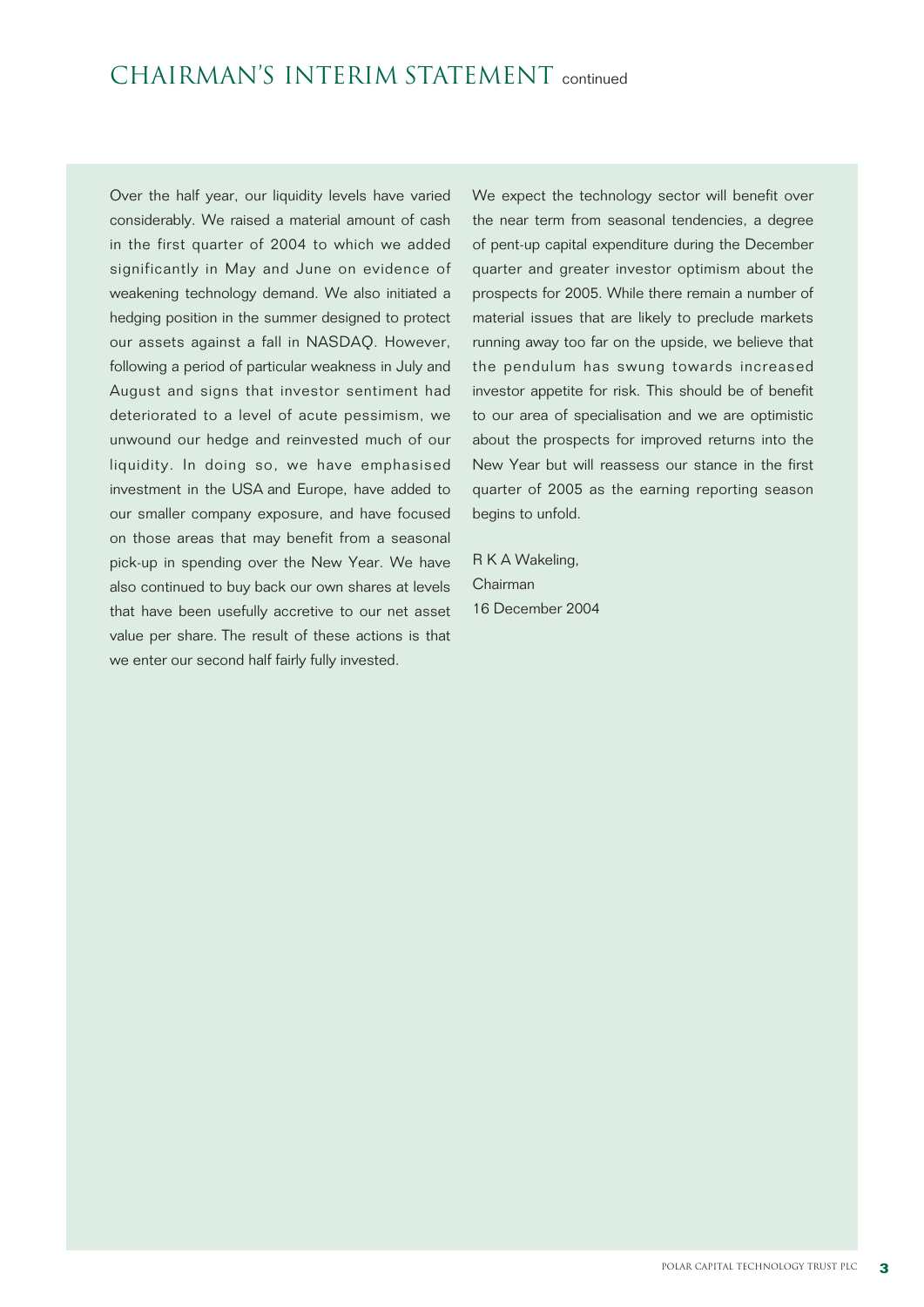Over the half year, our liquidity levels have varied considerably. We raised a material amount of cash in the first quarter of 2004 to which we added significantly in May and June on evidence of weakening technology demand. We also initiated a hedging position in the summer designed to protect our assets against a fall in NASDAQ. However, following a period of particular weakness in July and August and signs that investor sentiment had deteriorated to a level of acute pessimism, we unwound our hedge and reinvested much of our liquidity. In doing so, we have emphasised investment in the USA and Europe, have added to our smaller company exposure, and have focused on those areas that may benefit from a seasonal pick-up in spending over the New Year. We have also continued to buy back our own shares at levels that have been usefully accretive to our net asset value per share. The result of these actions is that we enter our second half fairly fully invested.

We expect the technology sector will benefit over the near term from seasonal tendencies, a degree of pent-up capital expenditure during the December quarter and greater investor optimism about the prospects for 2005. While there remain a number of material issues that are likely to preclude markets running away too far on the upside, we believe that the pendulum has swung towards increased investor appetite for risk. This should be of benefit to our area of specialisation and we are optimistic about the prospects for improved returns into the New Year but will reassess our stance in the first quarter of 2005 as the earning reporting season begins to unfold.

R K A Wakeling, Chairman 16 December 2004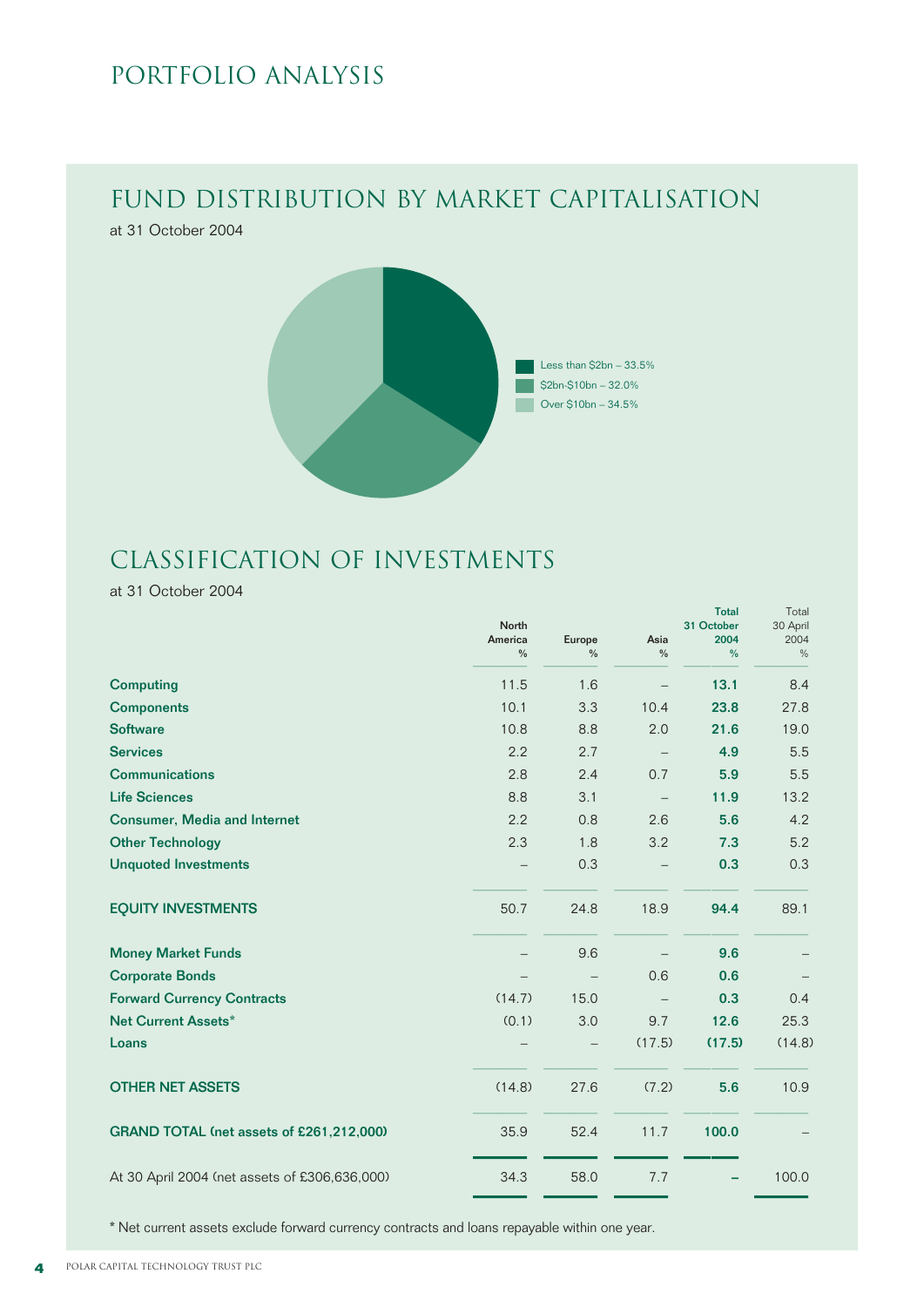### PORTFOLIO ANALYSIS

# Fund Distribution by Market Capitalisation

at 31 October 2004



### Classification of Investments

at 31 October 2004

|                                               | <b>North</b><br>America<br>$\frac{0}{0}$ | Europe<br>$\frac{0}{0}$ | Asia<br>$\frac{0}{0}$ | <b>Total</b><br>31 October<br>2004<br>% | Total<br>30 April<br>2004<br>$\%$ |
|-----------------------------------------------|------------------------------------------|-------------------------|-----------------------|-----------------------------------------|-----------------------------------|
| <b>Computing</b>                              | 11.5                                     | 1.6                     |                       | 13.1                                    | 8.4                               |
| <b>Components</b>                             | 10.1                                     | 3.3                     | 10.4                  | 23.8                                    | 27.8                              |
| <b>Software</b>                               | 10.8                                     | 8.8                     | 2.0                   | 21.6                                    | 19.0                              |
| <b>Services</b>                               | 2.2                                      | 2.7                     |                       | 4.9                                     | 5.5                               |
| <b>Communications</b>                         | 2.8                                      | 2.4                     | 0.7                   | 5.9                                     | 5.5                               |
| <b>Life Sciences</b>                          | 8.8                                      | 3.1                     |                       | 11.9                                    | 13.2                              |
| <b>Consumer, Media and Internet</b>           | 2.2                                      | 0.8                     | 2.6                   | 5.6                                     | 4.2                               |
| <b>Other Technology</b>                       | 2.3                                      | 1.8                     | 3.2                   | 7.3                                     | 5.2                               |
| <b>Unquoted Investments</b>                   |                                          | 0.3                     |                       | 0.3                                     | 0.3                               |
| <b>EQUITY INVESTMENTS</b>                     | 50.7                                     | 24.8                    | 18.9                  | 94.4                                    | 89.1                              |
| <b>Money Market Funds</b>                     |                                          | 9.6                     |                       | 9.6                                     |                                   |
| <b>Corporate Bonds</b>                        |                                          |                         | 0.6                   | 0.6                                     |                                   |
| <b>Forward Currency Contracts</b>             | (14.7)                                   | 15.0                    |                       | 0.3                                     | 0.4                               |
| <b>Net Current Assets*</b>                    | (0.1)                                    | 3.0                     | 9.7                   | 12.6                                    | 25.3                              |
| Loans                                         |                                          |                         | (17.5)                | (17.5)                                  | (14.8)                            |
| <b>OTHER NET ASSETS</b>                       | (14.8)                                   | 27.6                    | (7.2)                 | 5.6                                     | 10.9                              |
| GRAND TOTAL (net assets of £261,212,000)      | 35.9                                     | 52.4                    | 11.7                  | 100.0                                   |                                   |
| At 30 April 2004 (net assets of £306,636,000) | 34.3                                     | 58.0                    | 7.7                   |                                         | 100.0                             |

\* Net current assets exclude forward currency contracts and loans repayable within one year.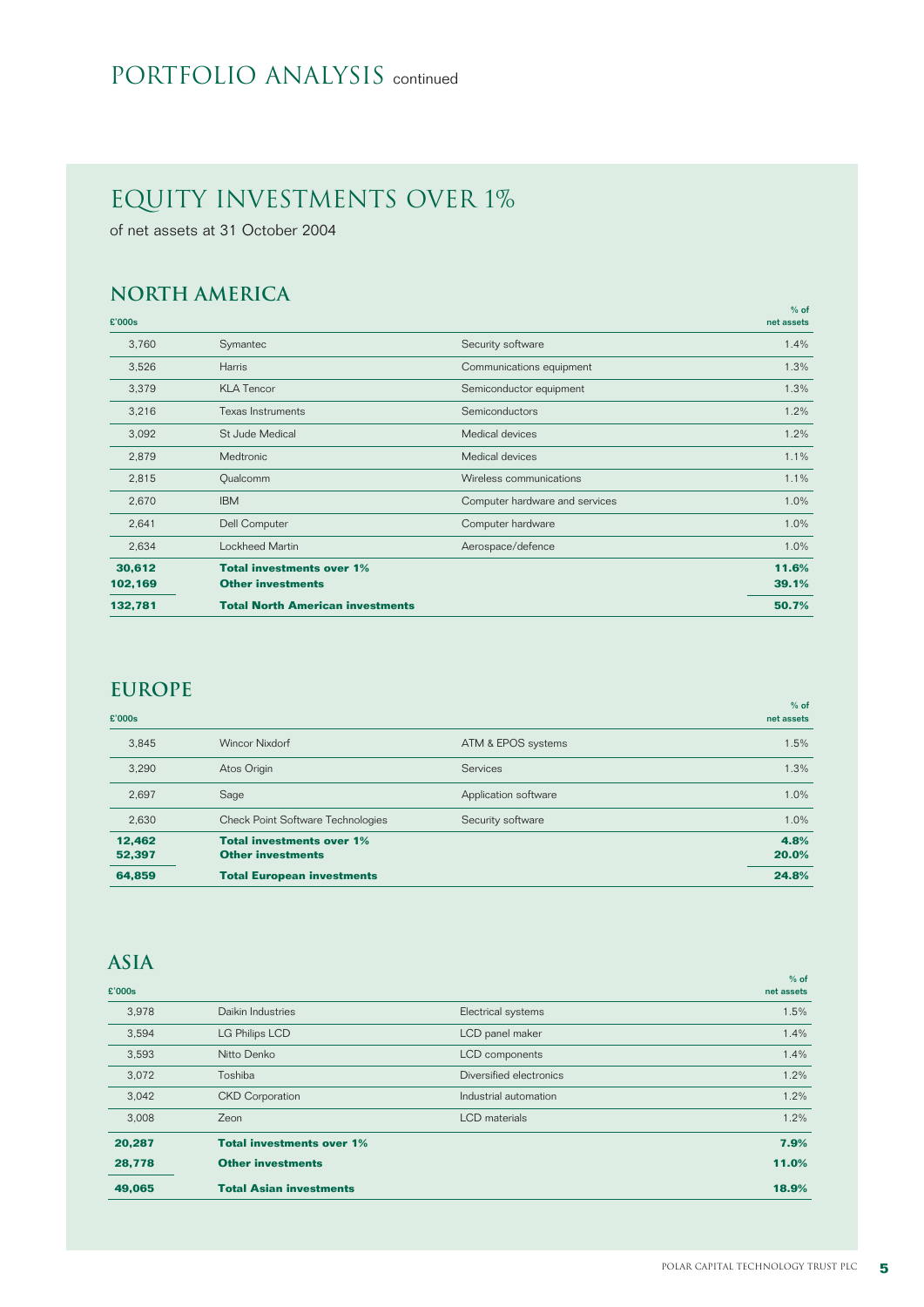### PORTFOLIO ANALYSIS continued

### equity investments over 1%

of net assets at 31 October 2004

### **North America**

| £'000s  |                                         |                                | $%$ of<br>net assets |
|---------|-----------------------------------------|--------------------------------|----------------------|
| 3,760   | Symantec                                | Security software              | 1.4%                 |
| 3,526   | <b>Harris</b>                           | Communications equipment       | 1.3%                 |
| 3,379   | <b>KLA Tencor</b>                       | Semiconductor equipment        | 1.3%                 |
| 3,216   | <b>Texas Instruments</b>                | Semiconductors                 | 1.2%                 |
| 3,092   | St Jude Medical                         | Medical devices                | 1.2%                 |
| 2,879   | Medtronic                               | Medical devices                | 1.1%                 |
| 2,815   | Qualcomm                                | Wireless communications        | 1.1%                 |
| 2,670   | <b>IBM</b>                              | Computer hardware and services | 1.0%                 |
| 2,641   | Dell Computer                           | Computer hardware              | 1.0%                 |
| 2,634   | Lockheed Martin                         | Aerospace/defence              | 1.0%                 |
| 30,612  | <b>Total investments over 1%</b>        |                                | 11.6%                |
| 102,169 | <b>Other investments</b>                |                                | 39.1%                |
| 132,781 | <b>Total North American investments</b> |                                | 50.7%                |

### **Europe**

| £'000s           |                                                              |                      | $%$ of<br>net assets |
|------------------|--------------------------------------------------------------|----------------------|----------------------|
| 3.845            | <b>Wincor Nixdorf</b>                                        | ATM & EPOS systems   | 1.5%                 |
| 3.290            | Atos Origin                                                  | <b>Services</b>      | 1.3%                 |
| 2,697            | Sage                                                         | Application software | 1.0%                 |
| 2,630            | <b>Check Point Software Technologies</b>                     | Security software    | 1.0%                 |
| 12.462<br>52,397 | <b>Total investments over 1%</b><br><b>Other investments</b> |                      | 4.8%<br>20.0%        |
| 64,859           | <b>Total European investments</b>                            |                      | 24.8%                |

### **Asia**

|        |                                  |                         | $%$ of     |
|--------|----------------------------------|-------------------------|------------|
| £'000s |                                  |                         | net assets |
| 3,978  | Daikin Industries                | Electrical systems      | 1.5%       |
| 3,594  | <b>LG Philips LCD</b>            | LCD panel maker         | 1.4%       |
| 3,593  | Nitto Denko                      | LCD components          | 1.4%       |
| 3,072  | Toshiba                          | Diversified electronics | 1.2%       |
| 3,042  | <b>CKD</b> Corporation           | Industrial automation   | 1.2%       |
| 3.008  | Zeon                             | <b>LCD</b> materials    | 1.2%       |
| 20,287 | <b>Total investments over 1%</b> |                         | 7.9%       |
| 28,778 | <b>Other investments</b>         |                         | 11.0%      |
| 49,065 | <b>Total Asian investments</b>   |                         | 18.9%      |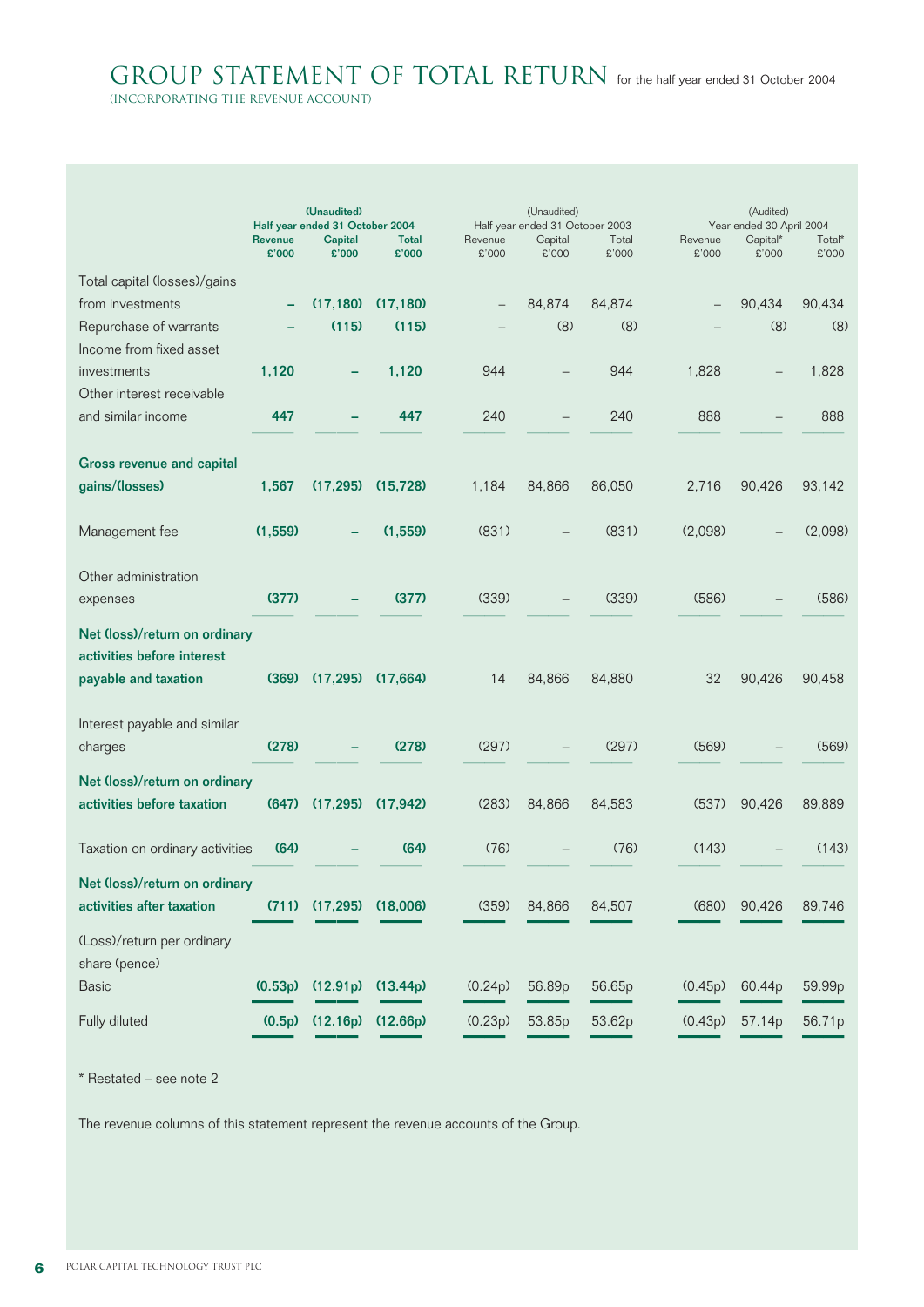GROUP STATEMENT OF TOTAL RETURN for the half year ended 31 October 2004

(incorporating the revenue account)

|                                                             |                         | (Unaudited)<br>Half year ended 31 October 2004 |                       |                  | (Unaudited)<br>Half year ended 31 October 2003 |                |                  | (Audited)<br>Year ended 30 April 2004 |                 |
|-------------------------------------------------------------|-------------------------|------------------------------------------------|-----------------------|------------------|------------------------------------------------|----------------|------------------|---------------------------------------|-----------------|
|                                                             | <b>Revenue</b><br>£'000 | <b>Capital</b><br>£'000                        | <b>Total</b><br>£'000 | Revenue<br>£'000 | Capital<br>£'000                               | Total<br>£'000 | Revenue<br>£'000 | Capital*<br>£'000                     | Total*<br>£'000 |
| Total capital (losses)/gains                                |                         |                                                |                       |                  |                                                |                |                  |                                       |                 |
| from investments                                            |                         | (17, 180)                                      | (17, 180)             |                  | 84,874                                         | 84.874         |                  | 90,434                                | 90,434          |
| Repurchase of warrants                                      |                         | (115)                                          | (115)                 |                  | (8)                                            | (8)            |                  | (8)                                   | (8)             |
| Income from fixed asset                                     |                         |                                                |                       |                  |                                                |                |                  |                                       |                 |
| investments                                                 | 1,120                   |                                                | 1,120                 | 944              |                                                | 944            | 1,828            |                                       | 1,828           |
| Other interest receivable                                   |                         |                                                |                       |                  |                                                |                |                  |                                       |                 |
| and similar income                                          | 447                     |                                                | 447                   | 240              |                                                | 240            | 888              | $\overline{\phantom{0}}$              | 888             |
| <b>Gross revenue and capital</b>                            |                         |                                                |                       |                  |                                                |                |                  |                                       |                 |
| gains/(losses)                                              | 1,567                   | (17, 295)                                      | (15, 728)             | 1,184            | 84,866                                         | 86,050         | 2,716            | 90,426                                | 93,142          |
| Management fee                                              | (1,559)                 |                                                | (1,559)               | (831)            |                                                | (831)          | (2,098)          |                                       | (2,098)         |
| Other administration                                        |                         |                                                |                       |                  |                                                |                |                  |                                       |                 |
| expenses                                                    | (377)                   |                                                | (377)                 | (339)            |                                                | (339)          | (586)            |                                       | (586)           |
| Net (loss)/return on ordinary<br>activities before interest |                         |                                                |                       |                  |                                                |                |                  |                                       |                 |
| payable and taxation                                        | (369)                   | (17, 295)                                      | (17,664)              | 14               | 84,866                                         | 84,880         | 32               | 90,426                                | 90,458          |
| Interest payable and similar                                |                         |                                                |                       |                  |                                                |                |                  |                                       |                 |
| charges                                                     | (278)                   |                                                | (278)                 | (297)            |                                                | (297)          | (569)            |                                       | (569)           |
| Net (loss)/return on ordinary                               |                         |                                                |                       |                  |                                                |                |                  |                                       |                 |
| activities before taxation                                  | (647)                   | (17, 295)                                      | (17, 942)             | (283)            | 84,866                                         | 84,583         | (537)            | 90,426                                | 89,889          |
| Taxation on ordinary activities                             | (64)                    |                                                | (64)                  | (76)             |                                                | (76)           | (143)            |                                       | (143)           |
| Net (loss)/return on ordinary                               |                         |                                                |                       |                  |                                                |                |                  |                                       |                 |
| activities after taxation                                   | (711)                   | (17, 295)                                      | (18,006)              | (359)            | 84,866                                         | 84,507         | (680)            | 90,426                                | 89,746          |
| (Loss)/return per ordinary<br>share (pence)                 |                         |                                                |                       |                  |                                                |                |                  |                                       |                 |
| <b>Basic</b>                                                | (0.53p)                 | (12.91p)                                       | (13.44p)              | (0.24p)          | 56.89p                                         | 56.65p         | (0.45p)          | 60.44p                                | 59.99p          |
| Fully diluted                                               | (0.5p)                  | (12.16p)                                       | (12.66p)              | (0.23p)          | 53.85p                                         | 53.62p         | (0.43p)          | 57.14p                                | 56.71p          |

\* Restated – see note 2

The revenue columns of this statement represent the revenue accounts of the Group.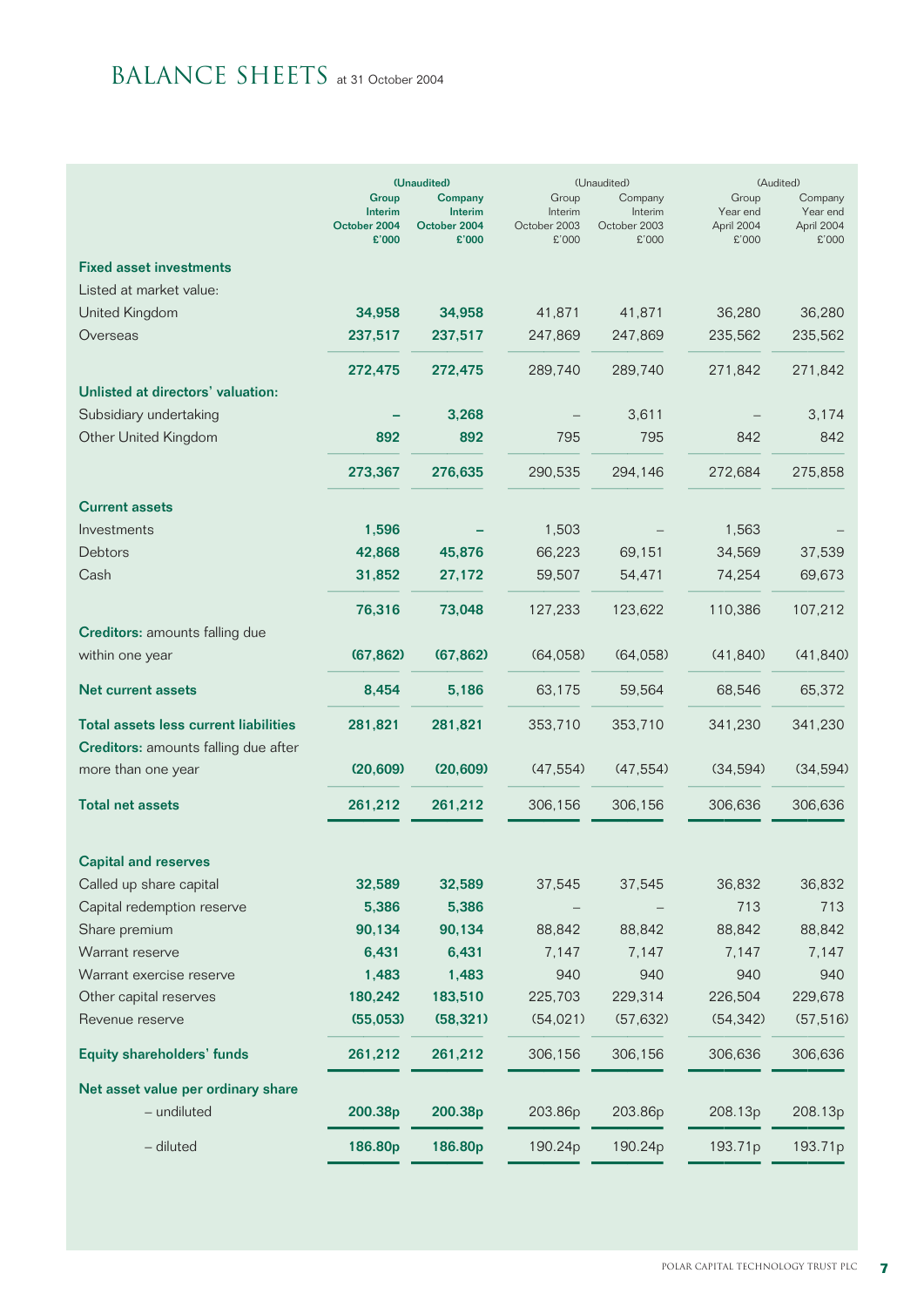# BALANCE SHEETS at 31 October 2004

|                                              |                         | (Unaudited)             | (Unaudited)             |                         |                        | (Audited)              |
|----------------------------------------------|-------------------------|-------------------------|-------------------------|-------------------------|------------------------|------------------------|
|                                              | Group                   | Company                 | Group                   | Company                 | Group                  | Company                |
|                                              | Interim<br>October 2004 | Interim<br>October 2004 | Interim<br>October 2003 | Interim<br>October 2003 | Year end<br>April 2004 | Year end<br>April 2004 |
|                                              | £'000                   | £'000                   | £'000                   | £'000                   | £'000                  | £'000                  |
| <b>Fixed asset investments</b>               |                         |                         |                         |                         |                        |                        |
| Listed at market value:                      |                         |                         |                         |                         |                        |                        |
| United Kingdom                               | 34,958                  | 34,958                  | 41,871                  | 41,871                  | 36,280                 | 36,280                 |
| Overseas                                     | 237,517                 | 237,517                 | 247,869                 | 247,869                 | 235,562                | 235,562                |
|                                              | 272,475                 | 272,475                 | 289,740                 | 289,740                 | 271,842                | 271,842                |
| Unlisted at directors' valuation:            |                         |                         |                         |                         |                        |                        |
| Subsidiary undertaking                       |                         | 3,268                   |                         | 3,611                   |                        | 3,174                  |
| Other United Kingdom                         | 892                     | 892                     | 795                     | 795                     | 842                    | 842                    |
|                                              | 273,367                 | 276,635                 | 290,535                 | 294,146                 | 272,684                | 275,858                |
| <b>Current assets</b>                        |                         |                         |                         |                         |                        |                        |
| Investments                                  | 1,596                   |                         | 1,503                   |                         | 1,563                  |                        |
| Debtors                                      | 42,868                  | 45,876                  | 66,223                  | 69,151                  | 34,569                 | 37,539                 |
| Cash                                         | 31,852                  | 27,172                  | 59,507                  | 54,471                  | 74,254                 | 69,673                 |
|                                              | 76,316                  | 73,048                  | 127,233                 | 123,622                 | 110,386                | 107,212                |
| Creditors: amounts falling due               |                         |                         |                         |                         |                        |                        |
| within one year                              | (67, 862)               | (67, 862)               | (64,058)                | (64, 058)               | (41, 840)              | (41, 840)              |
| <b>Net current assets</b>                    | 8,454                   | 5,186                   | 63,175                  | 59,564                  | 68,546                 | 65,372                 |
| <b>Total assets less current liabilities</b> | 281,821                 | 281,821                 | 353,710                 | 353,710                 | 341,230                | 341,230                |
| Creditors: amounts falling due after         |                         |                         |                         |                         |                        |                        |
| more than one year                           | (20, 609)               | (20, 609)               | (47, 554)               | (47, 554)               | (34, 594)              | (34, 594)              |
| <b>Total net assets</b>                      | 261,212                 | 261,212                 | 306,156                 | 306,156                 | 306,636                | 306,636                |
| <b>Capital and reserves</b>                  |                         |                         |                         |                         |                        |                        |
| Called up share capital                      | 32,589                  | 32,589                  | 37,545                  | 37,545                  | 36,832                 | 36,832                 |
| Capital redemption reserve                   | 5,386                   | 5,386                   |                         |                         | 713                    | 713                    |
| Share premium                                | 90,134                  | 90,134                  | 88,842                  | 88,842                  | 88,842                 | 88,842                 |
| Warrant reserve                              | 6,431                   | 6,431                   | 7,147                   | 7,147                   | 7,147                  | 7,147                  |
| Warrant exercise reserve                     | 1,483                   | 1,483                   | 940                     | 940                     | 940                    | 940                    |
| Other capital reserves                       | 180,242                 | 183,510                 | 225,703                 | 229,314                 | 226,504                | 229,678                |
| Revenue reserve                              | (55,053)                | (58, 321)               | (54,021)                | (57, 632)               | (54, 342)              | (57, 516)              |
| <b>Equity shareholders' funds</b>            | 261,212                 | 261,212                 | 306,156                 | 306,156                 | 306,636                | 306,636                |
| Net asset value per ordinary share           |                         |                         |                         |                         |                        |                        |
| - undiluted                                  | 200.38p                 | 200.38p                 | 203.86p                 | 203.86p                 | 208.13p                | 208.13p                |
| - diluted                                    | 186.80p                 | 186.80p                 | 190.24p                 | 190.24p                 | 193.71p                | 193.71p                |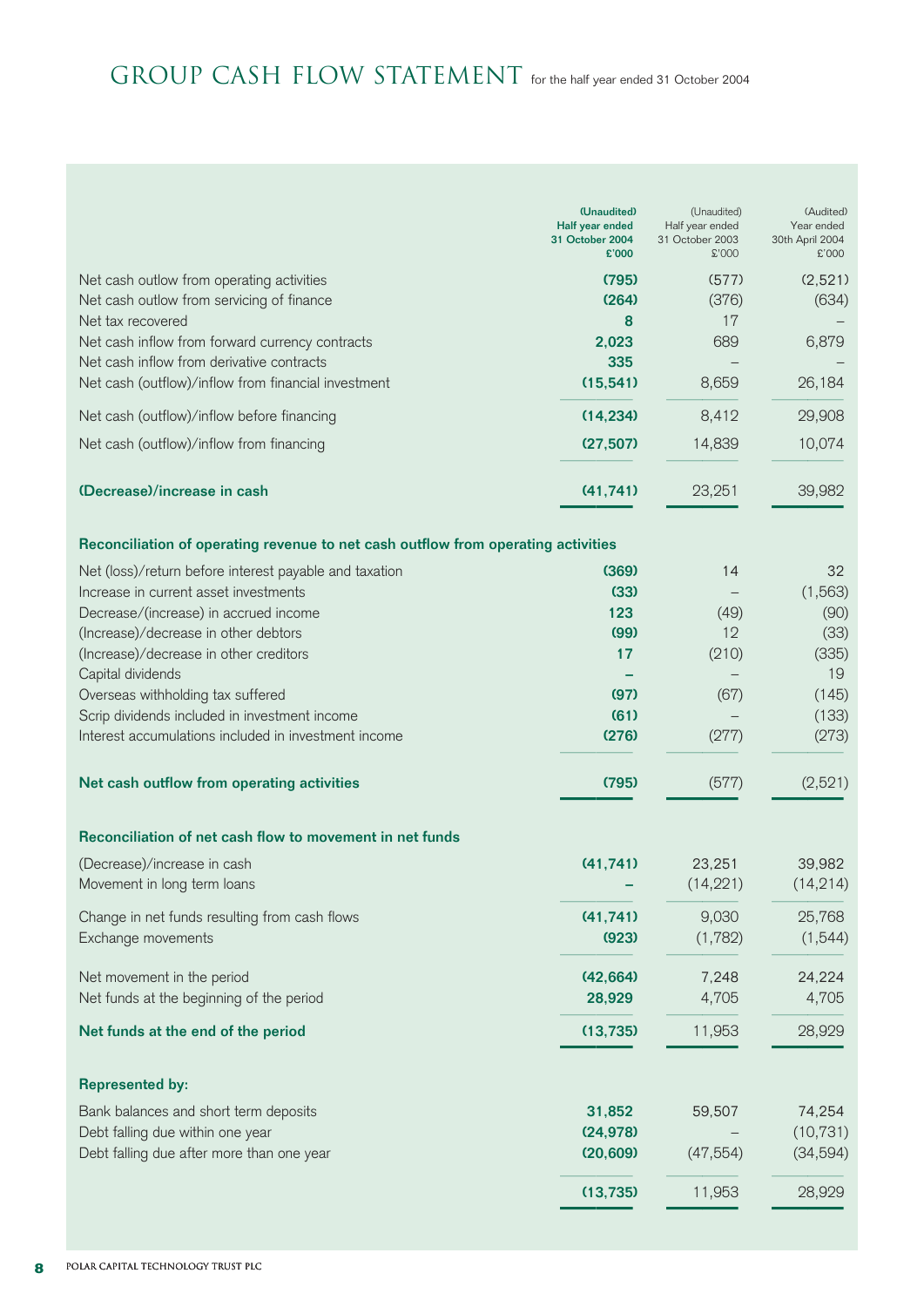# GROUP CASH FLOW STATEMENT for the half year ended 31 October 2004

| (2,521)<br>(795)<br>(577)<br>Net cash outlow from operating activities<br>Net cash outlow from servicing of finance<br>(264)<br>(376)<br>(634)<br>17<br>Net tax recovered<br>8<br>689<br>6,879<br>Net cash inflow from forward currency contracts<br>2,023<br>Net cash inflow from derivative contracts<br>335<br>Net cash (outflow)/inflow from financial investment<br>8,659<br>26,184<br>(15, 541)<br>8,412<br>29,908<br>(14, 234)<br>Net cash (outflow)/inflow before financing<br>14,839<br>10,074<br>Net cash (outflow)/inflow from financing<br>(27, 507)<br>23,251<br>(Decrease)/increase in cash<br>39,982<br>(41, 741)<br>Reconciliation of operating revenue to net cash outflow from operating activities<br>Net (loss)/return before interest payable and taxation<br>(369)<br>14<br>32<br>Increase in current asset investments<br>(1, 563)<br>(33)<br>Decrease/(increase) in accrued income<br>123<br>(49)<br>(90)<br>12<br>(Increase)/decrease in other debtors<br>(99)<br>(33)<br>(Increase)/decrease in other creditors<br>17<br>(210)<br>(335)<br>Capital dividends<br>19<br>Overseas withholding tax suffered<br>(97)<br>(145)<br>(67)<br>Scrip dividends included in investment income<br>(61)<br>(133)<br>Interest accumulations included in investment income<br>(276)<br>(277)<br>(273)<br>(2,521)<br>Net cash outflow from operating activities<br>(795)<br>(577)<br>Reconciliation of net cash flow to movement in net funds<br>(41, 741)<br>23,251<br>(Decrease)/increase in cash<br>39,982<br>(14, 221)<br>(14, 214)<br>Movement in long term loans<br>Change in net funds resulting from cash flows<br>(41, 741)<br>9,030<br>25,768<br>(1, 782)<br>Exchange movements<br>(923)<br>(1,544)<br>7,248<br>Net movement in the period<br>(42, 664)<br>24,224<br>4,705<br>Net funds at the beginning of the period<br>28,929<br>4,705<br>11,953<br>28,929<br>Net funds at the end of the period<br>(13, 735)<br><b>Represented by:</b><br>31,852<br>74,254<br>Bank balances and short term deposits<br>59,507<br>Debt falling due within one year<br>(10, 731)<br>(24, 978)<br>Debt falling due after more than one year<br>(47, 554)<br>(34, 594)<br>(20, 609)<br>11,953<br>28,929<br>(13, 735) | (Unaudited)<br>Half year ended<br>31 October 2004<br>£'000 | (Unaudited)<br>Half year ended<br>31 October 2003<br>\$'000 | (Audited)<br>Year ended<br>30th April 2004<br>£'000 |
|-------------------------------------------------------------------------------------------------------------------------------------------------------------------------------------------------------------------------------------------------------------------------------------------------------------------------------------------------------------------------------------------------------------------------------------------------------------------------------------------------------------------------------------------------------------------------------------------------------------------------------------------------------------------------------------------------------------------------------------------------------------------------------------------------------------------------------------------------------------------------------------------------------------------------------------------------------------------------------------------------------------------------------------------------------------------------------------------------------------------------------------------------------------------------------------------------------------------------------------------------------------------------------------------------------------------------------------------------------------------------------------------------------------------------------------------------------------------------------------------------------------------------------------------------------------------------------------------------------------------------------------------------------------------------------------------------------------------------------------------------------------------------------------------------------------------------------------------------------------------------------------------------------------------------------------------------------------------------------------------------------------------------------------------------------------------------------------------------------------------------------------------------------------------------------------------------------------------------|------------------------------------------------------------|-------------------------------------------------------------|-----------------------------------------------------|
|                                                                                                                                                                                                                                                                                                                                                                                                                                                                                                                                                                                                                                                                                                                                                                                                                                                                                                                                                                                                                                                                                                                                                                                                                                                                                                                                                                                                                                                                                                                                                                                                                                                                                                                                                                                                                                                                                                                                                                                                                                                                                                                                                                                                                         |                                                            |                                                             |                                                     |
|                                                                                                                                                                                                                                                                                                                                                                                                                                                                                                                                                                                                                                                                                                                                                                                                                                                                                                                                                                                                                                                                                                                                                                                                                                                                                                                                                                                                                                                                                                                                                                                                                                                                                                                                                                                                                                                                                                                                                                                                                                                                                                                                                                                                                         |                                                            |                                                             |                                                     |
|                                                                                                                                                                                                                                                                                                                                                                                                                                                                                                                                                                                                                                                                                                                                                                                                                                                                                                                                                                                                                                                                                                                                                                                                                                                                                                                                                                                                                                                                                                                                                                                                                                                                                                                                                                                                                                                                                                                                                                                                                                                                                                                                                                                                                         |                                                            |                                                             |                                                     |
|                                                                                                                                                                                                                                                                                                                                                                                                                                                                                                                                                                                                                                                                                                                                                                                                                                                                                                                                                                                                                                                                                                                                                                                                                                                                                                                                                                                                                                                                                                                                                                                                                                                                                                                                                                                                                                                                                                                                                                                                                                                                                                                                                                                                                         |                                                            |                                                             |                                                     |
|                                                                                                                                                                                                                                                                                                                                                                                                                                                                                                                                                                                                                                                                                                                                                                                                                                                                                                                                                                                                                                                                                                                                                                                                                                                                                                                                                                                                                                                                                                                                                                                                                                                                                                                                                                                                                                                                                                                                                                                                                                                                                                                                                                                                                         |                                                            |                                                             |                                                     |
|                                                                                                                                                                                                                                                                                                                                                                                                                                                                                                                                                                                                                                                                                                                                                                                                                                                                                                                                                                                                                                                                                                                                                                                                                                                                                                                                                                                                                                                                                                                                                                                                                                                                                                                                                                                                                                                                                                                                                                                                                                                                                                                                                                                                                         |                                                            |                                                             |                                                     |
|                                                                                                                                                                                                                                                                                                                                                                                                                                                                                                                                                                                                                                                                                                                                                                                                                                                                                                                                                                                                                                                                                                                                                                                                                                                                                                                                                                                                                                                                                                                                                                                                                                                                                                                                                                                                                                                                                                                                                                                                                                                                                                                                                                                                                         |                                                            |                                                             |                                                     |
|                                                                                                                                                                                                                                                                                                                                                                                                                                                                                                                                                                                                                                                                                                                                                                                                                                                                                                                                                                                                                                                                                                                                                                                                                                                                                                                                                                                                                                                                                                                                                                                                                                                                                                                                                                                                                                                                                                                                                                                                                                                                                                                                                                                                                         |                                                            |                                                             |                                                     |
|                                                                                                                                                                                                                                                                                                                                                                                                                                                                                                                                                                                                                                                                                                                                                                                                                                                                                                                                                                                                                                                                                                                                                                                                                                                                                                                                                                                                                                                                                                                                                                                                                                                                                                                                                                                                                                                                                                                                                                                                                                                                                                                                                                                                                         |                                                            |                                                             |                                                     |
|                                                                                                                                                                                                                                                                                                                                                                                                                                                                                                                                                                                                                                                                                                                                                                                                                                                                                                                                                                                                                                                                                                                                                                                                                                                                                                                                                                                                                                                                                                                                                                                                                                                                                                                                                                                                                                                                                                                                                                                                                                                                                                                                                                                                                         |                                                            |                                                             |                                                     |
|                                                                                                                                                                                                                                                                                                                                                                                                                                                                                                                                                                                                                                                                                                                                                                                                                                                                                                                                                                                                                                                                                                                                                                                                                                                                                                                                                                                                                                                                                                                                                                                                                                                                                                                                                                                                                                                                                                                                                                                                                                                                                                                                                                                                                         |                                                            |                                                             |                                                     |
|                                                                                                                                                                                                                                                                                                                                                                                                                                                                                                                                                                                                                                                                                                                                                                                                                                                                                                                                                                                                                                                                                                                                                                                                                                                                                                                                                                                                                                                                                                                                                                                                                                                                                                                                                                                                                                                                                                                                                                                                                                                                                                                                                                                                                         |                                                            |                                                             |                                                     |
|                                                                                                                                                                                                                                                                                                                                                                                                                                                                                                                                                                                                                                                                                                                                                                                                                                                                                                                                                                                                                                                                                                                                                                                                                                                                                                                                                                                                                                                                                                                                                                                                                                                                                                                                                                                                                                                                                                                                                                                                                                                                                                                                                                                                                         |                                                            |                                                             |                                                     |
|                                                                                                                                                                                                                                                                                                                                                                                                                                                                                                                                                                                                                                                                                                                                                                                                                                                                                                                                                                                                                                                                                                                                                                                                                                                                                                                                                                                                                                                                                                                                                                                                                                                                                                                                                                                                                                                                                                                                                                                                                                                                                                                                                                                                                         |                                                            |                                                             |                                                     |
|                                                                                                                                                                                                                                                                                                                                                                                                                                                                                                                                                                                                                                                                                                                                                                                                                                                                                                                                                                                                                                                                                                                                                                                                                                                                                                                                                                                                                                                                                                                                                                                                                                                                                                                                                                                                                                                                                                                                                                                                                                                                                                                                                                                                                         |                                                            |                                                             |                                                     |
|                                                                                                                                                                                                                                                                                                                                                                                                                                                                                                                                                                                                                                                                                                                                                                                                                                                                                                                                                                                                                                                                                                                                                                                                                                                                                                                                                                                                                                                                                                                                                                                                                                                                                                                                                                                                                                                                                                                                                                                                                                                                                                                                                                                                                         |                                                            |                                                             |                                                     |
|                                                                                                                                                                                                                                                                                                                                                                                                                                                                                                                                                                                                                                                                                                                                                                                                                                                                                                                                                                                                                                                                                                                                                                                                                                                                                                                                                                                                                                                                                                                                                                                                                                                                                                                                                                                                                                                                                                                                                                                                                                                                                                                                                                                                                         |                                                            |                                                             |                                                     |
|                                                                                                                                                                                                                                                                                                                                                                                                                                                                                                                                                                                                                                                                                                                                                                                                                                                                                                                                                                                                                                                                                                                                                                                                                                                                                                                                                                                                                                                                                                                                                                                                                                                                                                                                                                                                                                                                                                                                                                                                                                                                                                                                                                                                                         |                                                            |                                                             |                                                     |
|                                                                                                                                                                                                                                                                                                                                                                                                                                                                                                                                                                                                                                                                                                                                                                                                                                                                                                                                                                                                                                                                                                                                                                                                                                                                                                                                                                                                                                                                                                                                                                                                                                                                                                                                                                                                                                                                                                                                                                                                                                                                                                                                                                                                                         |                                                            |                                                             |                                                     |
|                                                                                                                                                                                                                                                                                                                                                                                                                                                                                                                                                                                                                                                                                                                                                                                                                                                                                                                                                                                                                                                                                                                                                                                                                                                                                                                                                                                                                                                                                                                                                                                                                                                                                                                                                                                                                                                                                                                                                                                                                                                                                                                                                                                                                         |                                                            |                                                             |                                                     |
|                                                                                                                                                                                                                                                                                                                                                                                                                                                                                                                                                                                                                                                                                                                                                                                                                                                                                                                                                                                                                                                                                                                                                                                                                                                                                                                                                                                                                                                                                                                                                                                                                                                                                                                                                                                                                                                                                                                                                                                                                                                                                                                                                                                                                         |                                                            |                                                             |                                                     |
|                                                                                                                                                                                                                                                                                                                                                                                                                                                                                                                                                                                                                                                                                                                                                                                                                                                                                                                                                                                                                                                                                                                                                                                                                                                                                                                                                                                                                                                                                                                                                                                                                                                                                                                                                                                                                                                                                                                                                                                                                                                                                                                                                                                                                         |                                                            |                                                             |                                                     |
|                                                                                                                                                                                                                                                                                                                                                                                                                                                                                                                                                                                                                                                                                                                                                                                                                                                                                                                                                                                                                                                                                                                                                                                                                                                                                                                                                                                                                                                                                                                                                                                                                                                                                                                                                                                                                                                                                                                                                                                                                                                                                                                                                                                                                         |                                                            |                                                             |                                                     |
|                                                                                                                                                                                                                                                                                                                                                                                                                                                                                                                                                                                                                                                                                                                                                                                                                                                                                                                                                                                                                                                                                                                                                                                                                                                                                                                                                                                                                                                                                                                                                                                                                                                                                                                                                                                                                                                                                                                                                                                                                                                                                                                                                                                                                         |                                                            |                                                             |                                                     |
|                                                                                                                                                                                                                                                                                                                                                                                                                                                                                                                                                                                                                                                                                                                                                                                                                                                                                                                                                                                                                                                                                                                                                                                                                                                                                                                                                                                                                                                                                                                                                                                                                                                                                                                                                                                                                                                                                                                                                                                                                                                                                                                                                                                                                         |                                                            |                                                             |                                                     |
|                                                                                                                                                                                                                                                                                                                                                                                                                                                                                                                                                                                                                                                                                                                                                                                                                                                                                                                                                                                                                                                                                                                                                                                                                                                                                                                                                                                                                                                                                                                                                                                                                                                                                                                                                                                                                                                                                                                                                                                                                                                                                                                                                                                                                         |                                                            |                                                             |                                                     |
|                                                                                                                                                                                                                                                                                                                                                                                                                                                                                                                                                                                                                                                                                                                                                                                                                                                                                                                                                                                                                                                                                                                                                                                                                                                                                                                                                                                                                                                                                                                                                                                                                                                                                                                                                                                                                                                                                                                                                                                                                                                                                                                                                                                                                         |                                                            |                                                             |                                                     |
|                                                                                                                                                                                                                                                                                                                                                                                                                                                                                                                                                                                                                                                                                                                                                                                                                                                                                                                                                                                                                                                                                                                                                                                                                                                                                                                                                                                                                                                                                                                                                                                                                                                                                                                                                                                                                                                                                                                                                                                                                                                                                                                                                                                                                         |                                                            |                                                             |                                                     |
|                                                                                                                                                                                                                                                                                                                                                                                                                                                                                                                                                                                                                                                                                                                                                                                                                                                                                                                                                                                                                                                                                                                                                                                                                                                                                                                                                                                                                                                                                                                                                                                                                                                                                                                                                                                                                                                                                                                                                                                                                                                                                                                                                                                                                         |                                                            |                                                             |                                                     |
|                                                                                                                                                                                                                                                                                                                                                                                                                                                                                                                                                                                                                                                                                                                                                                                                                                                                                                                                                                                                                                                                                                                                                                                                                                                                                                                                                                                                                                                                                                                                                                                                                                                                                                                                                                                                                                                                                                                                                                                                                                                                                                                                                                                                                         |                                                            |                                                             |                                                     |
|                                                                                                                                                                                                                                                                                                                                                                                                                                                                                                                                                                                                                                                                                                                                                                                                                                                                                                                                                                                                                                                                                                                                                                                                                                                                                                                                                                                                                                                                                                                                                                                                                                                                                                                                                                                                                                                                                                                                                                                                                                                                                                                                                                                                                         |                                                            |                                                             |                                                     |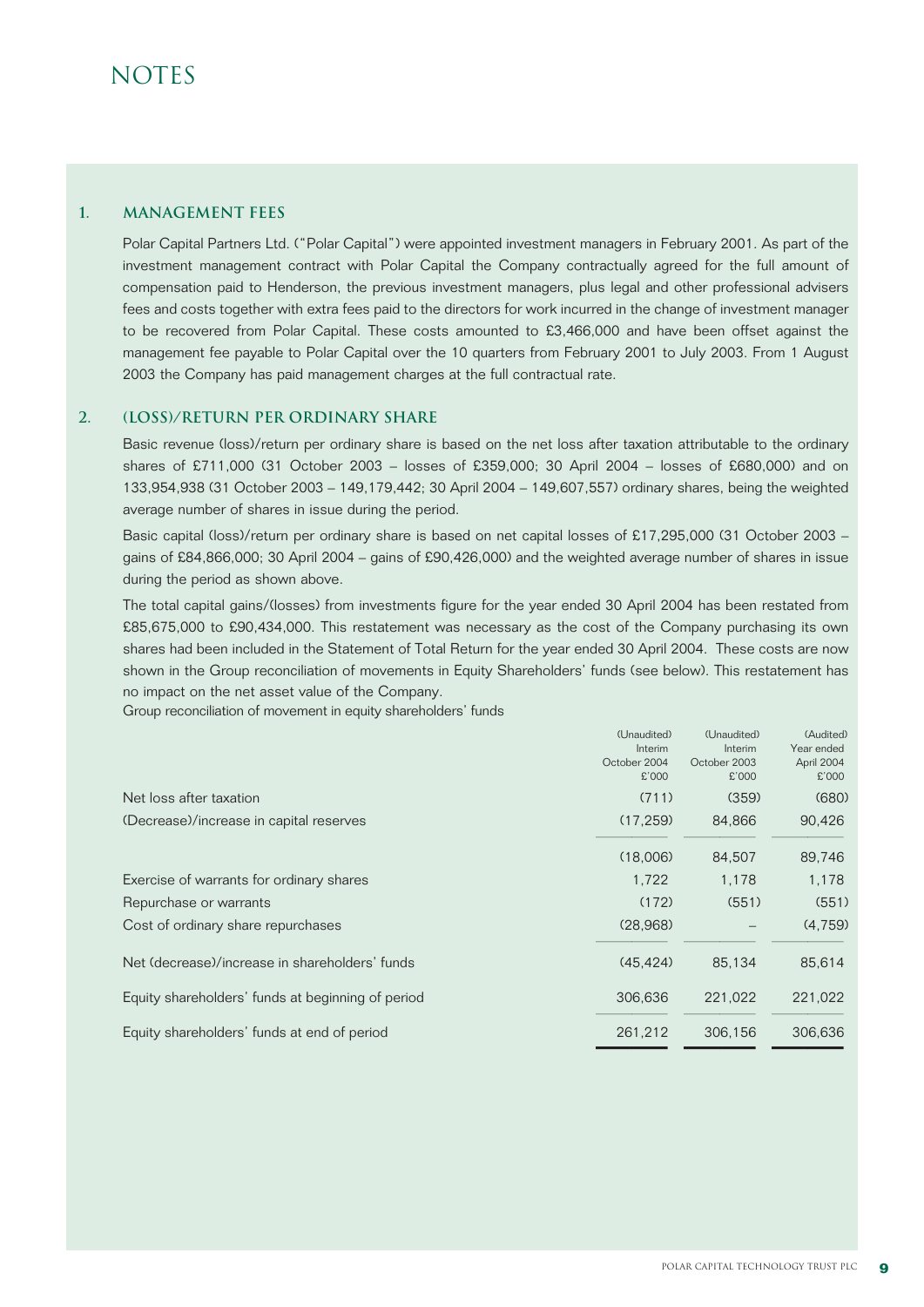#### **1. Management fees**

Polar Capital Partners Ltd. ("Polar Capital") were appointed investment managers in February 2001. As part of the investment management contract with Polar Capital the Company contractually agreed for the full amount of compensation paid to Henderson, the previous investment managers, plus legal and other professional advisers fees and costs together with extra fees paid to the directors for work incurred in the change of investment manager to be recovered from Polar Capital. These costs amounted to £3,466,000 and have been offset against the management fee payable to Polar Capital over the 10 quarters from February 2001 to July 2003. From 1 August 2003 the Company has paid management charges at the full contractual rate.

#### **2. (Loss)/RETURN per ordinary share**

Basic revenue (loss)/return per ordinary share is based on the net loss after taxation attributable to the ordinary shares of £711,000 (31 October 2003 – losses of £359,000; 30 April 2004 – losses of £680,000) and on 133,954,938 (31 October 2003 – 149,179,442; 30 April 2004 – 149,607,557) ordinary shares, being the weighted average number of shares in issue during the period.

Basic capital (loss)/return per ordinary share is based on net capital losses of £17,295,000 (31 October 2003 – gains of £84,866,000; 30 April 2004 – gains of £90,426,000) and the weighted average number of shares in issue during the period as shown above.

The total capital gains/(losses) from investments figure for the year ended 30 April 2004 has been restated from £85,675,000 to £90,434,000. This restatement was necessary as the cost of the Company purchasing its own shares had been included in the Statement of Total Return for the year ended 30 April 2004. These costs are now shown in the Group reconciliation of movements in Equity Shareholders' funds (see below). This restatement has no impact on the net asset value of the Company.

Group reconciliation of movement in equity shareholders' funds

|                                                   | (Unaudited)  | (Unaudited)  | (Audited)  |
|---------------------------------------------------|--------------|--------------|------------|
|                                                   | Interim      | Interim      | Year ended |
|                                                   | October 2004 | October 2003 | April 2004 |
|                                                   | £'000        | £'000        | £'000      |
| Net loss after taxation                           | (711)        | (359)        | (680)      |
| (Decrease)/increase in capital reserves           | (17, 259)    | 84,866       | 90,426     |
|                                                   | (18,006)     | 84,507       | 89,746     |
| Exercise of warrants for ordinary shares          | 1,722        | 1,178        | 1,178      |
| Repurchase or warrants                            | (172)        | (551)        | (551)      |
| Cost of ordinary share repurchases                | (28,968)     |              | (4,759)    |
| Net (decrease)/increase in shareholders' funds    | (45.424)     | 85.134       | 85,614     |
| Equity shareholders' funds at beginning of period | 306.636      | 221.022      | 221,022    |
| Equity shareholders' funds at end of period       | 261,212      | 306,156      | 306,636    |
|                                                   |              |              |            |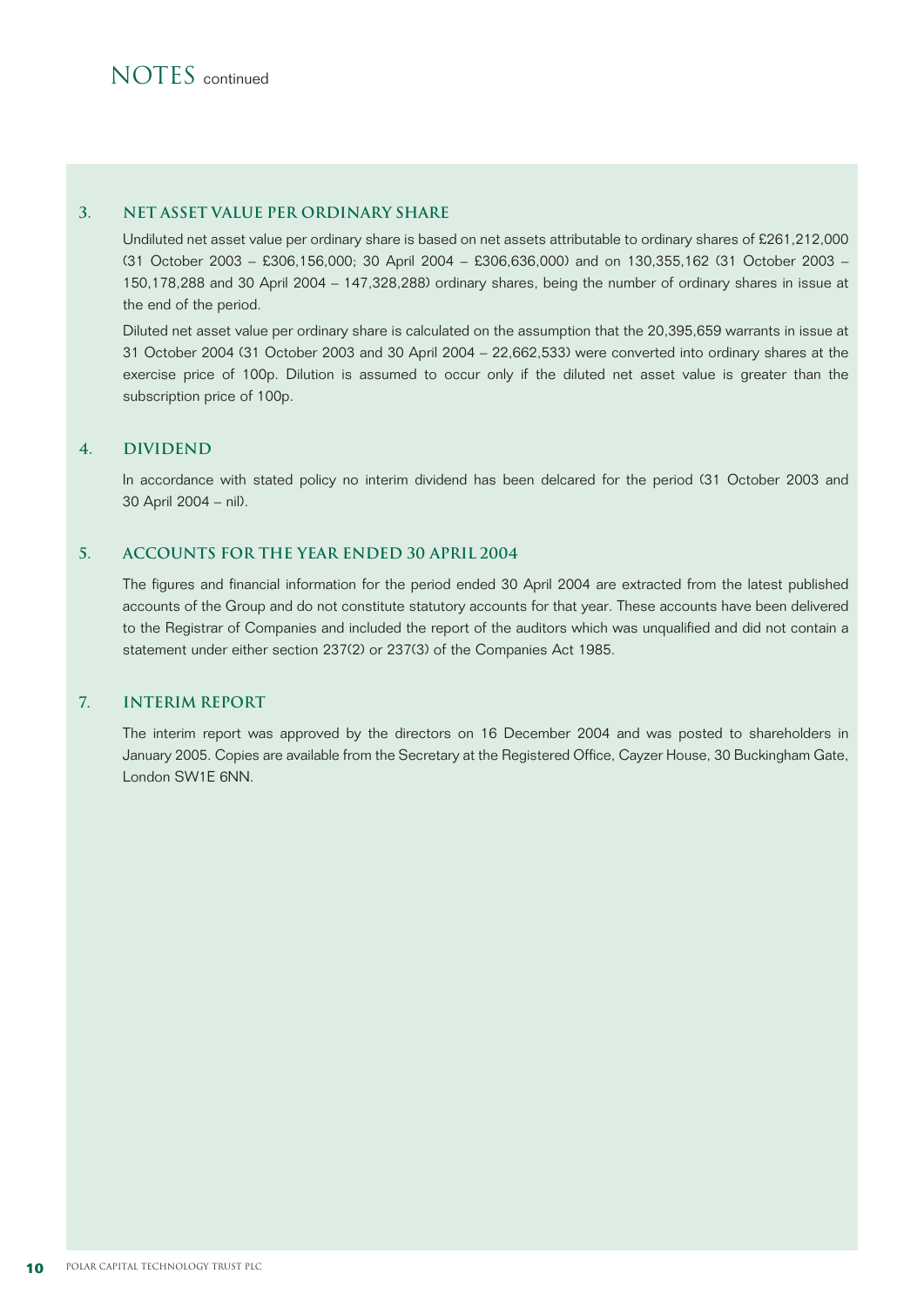#### **3. NET ASSET VALUE PER ORDINARY SHARE**

Undiluted net asset value per ordinary share is based on net assets attributable to ordinary shares of £261,212,000 (31 October 2003 – £306,156,000; 30 April 2004 – £306,636,000) and on 130,355,162 (31 October 2003 – 150,178,288 and 30 April 2004 – 147,328,288) ordinary shares, being the number of ordinary shares in issue at the end of the period.

Diluted net asset value per ordinary share is calculated on the assumption that the 20,395,659 warrants in issue at 31 October 2004 (31 October 2003 and 30 April 2004 – 22,662,533) were converted into ordinary shares at the exercise price of 100p. Dilution is assumed to occur only if the diluted net asset value is greater than the subscription price of 100p.

#### **4. DIVIDEND**

In accordance with stated policy no interim dividend has been delcared for the period (31 October 2003 and 30 April 2004 – nil).

#### **5. Accounts for the YEAR ended 30 APRIL 2004**

The figures and financial information for the period ended 30 April 2004 are extracted from the latest published accounts of the Group and do not constitute statutory accounts for that year. These accounts have been delivered to the Registrar of Companies and included the report of the auditors which was unqualified and did not contain a statement under either section 237(2) or 237(3) of the Companies Act 1985.

#### **7. INTERIM REPORT**

The interim report was approved by the directors on 16 December 2004 and was posted to shareholders in January 2005. Copies are available from the Secretary at the Registered Office, Cayzer House, 30 Buckingham Gate, London SW1E 6NN.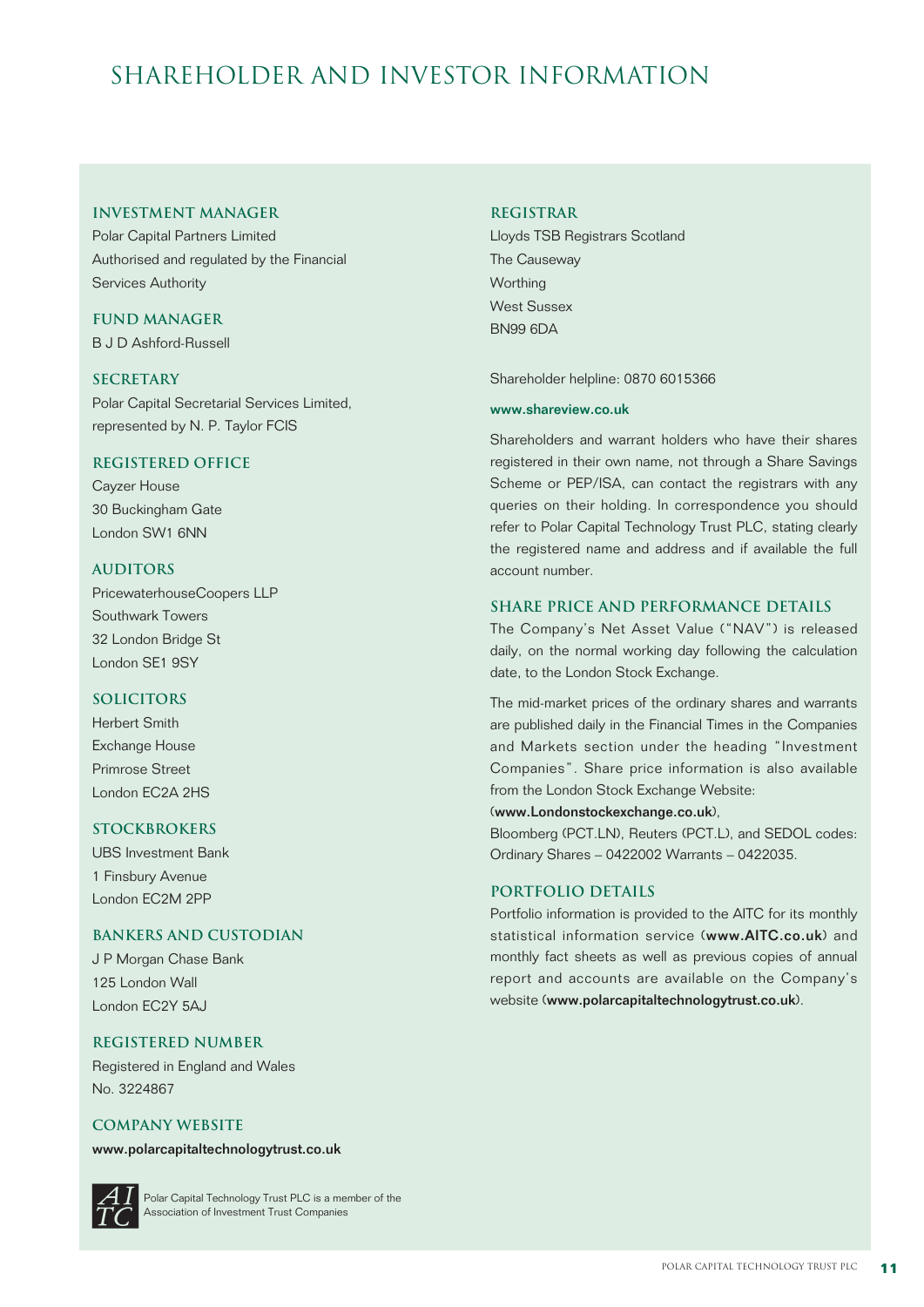# shareholder and Investor Information

#### **Investment Manager**

Polar Capital Partners Limited Authorised and regulated by the Financial Services Authority

### **Fund Manager**

B J D Ashford-Russell

#### **Secretary**

Polar Capital Secretarial Services Limited, represented by N. P. Taylor FCIS

#### **Registered Office**

Cayzer House 30 Buckingham Gate London SW1 6NN

#### **Auditors**

PricewaterhouseCoopers LLP Southwark Towers 32 London Bridge St London SE1 9SY

#### **Solicitors**

Herbert Smith Exchange House Primrose Street London EC2A 2HS

#### **Stockbrokers**

UBS Investment Bank 1 Finsbury Avenue London EC2M 2PP

#### **Bankers and Custodian**

J P Morgan Chase Bank 125 London Wall London EC2Y 5AJ

#### **Registered Number**

Registered in England and Wales No. 3224867

#### **COMPANY WEBSITE**

www.polarcapitaltechnologytrust.co.uk



Polar Capital Technology Trust PLC is a member of the Association of Investment Trust Companies

#### **Registrar**

Lloyds TSB Registrars Scotland The Causeway **Worthing** West Sussex BN99 6DA

Shareholder helpline: 0870 6015366

#### www.shareview.co.uk

Shareholders and warrant holders who have their shares registered in their own name, not through a Share Savings Scheme or PEP/ISA, can contact the registrars with any queries on their holding. In correspondence you should refer to Polar Capital Technology Trust PLC, stating clearly the registered name and address and if available the full account number.

#### **SHARE PRICE AND PERFORMANCE DETAILS**

The Company's Net Asset Value ("NAV") is released daily, on the normal working day following the calculation date, to the London Stock Exchange.

The mid-market prices of the ordinary shares and warrants are published daily in the Financial Times in the Companies and Markets section under the heading "Investment Companies". Share price information is also available from the London Stock Exchange Website:

#### (www.Londonstockexchange.co.uk),

Bloomberg (PCT.LN), Reuters (PCT.L), and SEDOL codes: Ordinary Shares – 0422002 Warrants – 0422035.

#### **portfolio details**

Portfolio information is provided to the AITC for its monthly statistical information service (www.AITC.co.uk) and monthly fact sheets as well as previous copies of annual report and accounts are available on the Company's website (www.polarcapitaltechnologytrust.co.uk).